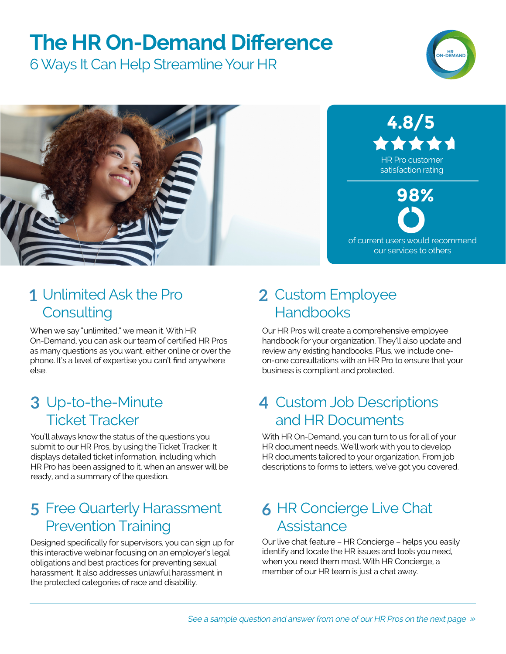## **The HR On-Demand Difference**

6 Ways It Can Help Streamline Your HR





#### Unlimited Ask the Pro **1 2 Consulting**

When we say "unlimited," we mean it. With HR On-Demand, you can ask our team of certified HR Pros as many questions as you want, either online or over the phone. It's a level of expertise you can't find anywhere else.

#### Up-to-the-Minute **3 4** Ticket Tracker

You'll always know the status of the questions you submit to our HR Pros, by using the Ticket Tracker. It displays detailed ticket information, including which HR Pro has been assigned to it, when an answer will be ready, and a summary of the question.

#### Free Quarterly Harassment **5 6** Prevention Training

Designed specifically for supervisors, you can sign up for this interactive webinar focusing on an employer's legal obligations and best practices for preventing sexual harassment. It also addresses unlawful harassment in the protected categories of race and disability.

#### 2 Custom Employee **Handbooks**

Our HR Pros will create a comprehensive employee handbook for your organization. They'll also update and review any existing handbooks. Plus, we include oneon-one consultations with an HR Pro to ensure that your business is compliant and protected.

#### 4 Custom Job Descriptions and HR Documents

With HR On-Demand, you can turn to us for all of your HR document needs. We'll work with you to develop HR documents tailored to your organization. From job descriptions to forms to letters, we've got you covered.

#### **6 HR Concierge Live Chat Assistance**

Our live chat feature – HR Concierge – helps you easily identify and locate the HR issues and tools you need, when you need them most. With HR Concierge, a member of our HR team is just a chat away.